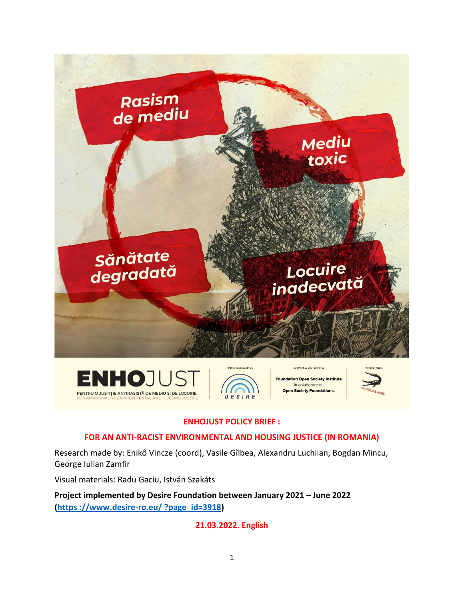

## **ENHOJUST POLICY BRIEF :**

#### **FOR AN ANTI-RACIST ENVIRONMENTAL AND HOUSING JUSTICE (IN ROMANIA)**

Research made by: Enikő Vincze (coord), Vasile Gîlbea, Alexandru Luchiian, Bogdan Mincu, George Iulian Zamfir

Visual materials: Radu Gaciu, István Szakáts

**Project implemented by Desire Foundation between January 2021 – June 2022 (https [://www.desire-ro.eu/](https://www.desire-ro.eu/?page_id=3918) ?page\_id=3918)**

## **21.03.2022. English**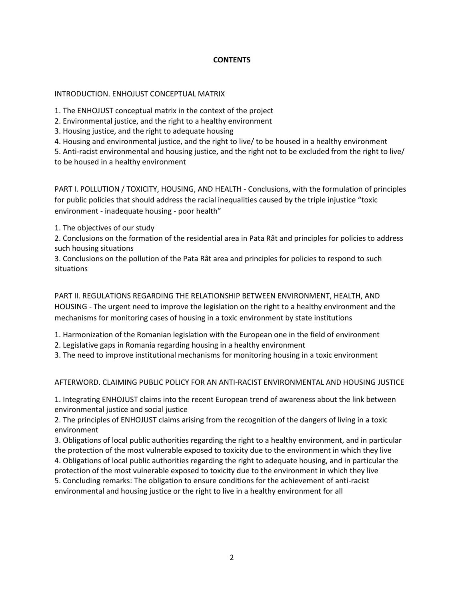#### **CONTENTS**

#### INTRODUCTION. ENHOJUST CONCEPTUAL MATRIX

1. The ENHOJUST conceptual matrix in the context of the project

- 2. Environmental justice, and the right to a healthy environment
- 3. Housing justice, and the right to adequate housing
- 4. Housing and environmental justice, and the right to live/ to be housed in a healthy environment

5. Anti-racist environmental and housing justice, and the right not to be excluded from the right to live/

to be housed in a healthy environment

PART I. POLLUTION / TOXICITY, HOUSING, AND HEALTH - Conclusions, with the formulation of principles for public policies that should address the racial inequalities caused by the triple injustice "toxic environment - inadequate housing - poor health"

1. The objectives of our study

2. Conclusions on the formation of the residential area in Pata Rât and principles for policies to address such housing situations

3. Conclusions on the pollution of the Pata Rât area and principles for policies to respond to such situations

PART II. REGULATIONS REGARDING THE RELATIONSHIP BETWEEN ENVIRONMENT, HEALTH, AND HOUSING - The urgent need to improve the legislation on the right to a healthy environment and the mechanisms for monitoring cases of housing in a toxic environment by state institutions

1. Harmonization of the Romanian legislation with the European one in the field of environment

2. Legislative gaps in Romania regarding housing in a healthy environment

3. The need to improve institutional mechanisms for monitoring housing in a toxic environment

AFTERWORD. CLAIMING PUBLIC POLICY FOR AN ANTI-RACIST ENVIRONMENTAL AND HOUSING JUSTICE

1. Integrating ENHOJUST claims into the recent European trend of awareness about the link between environmental justice and social justice

2. The principles of ENHOJUST claims arising from the recognition of the dangers of living in a toxic environment

3. Obligations of local public authorities regarding the right to a healthy environment, and in particular the protection of the most vulnerable exposed to toxicity due to the environment in which they live 4. Obligations of local public authorities regarding the right to adequate housing, and in particular the protection of the most vulnerable exposed to toxicity due to the environment in which they live 5. Concluding remarks: The obligation to ensure conditions for the achievement of anti-racist

environmental and housing justice or the right to live in a healthy environment for all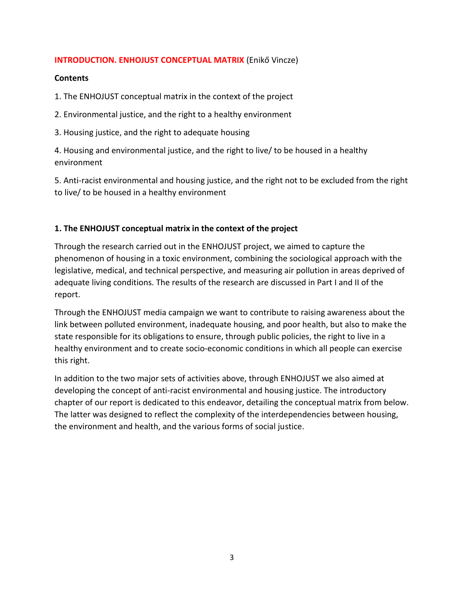### **INTRODUCTION. ENHOJUST CONCEPTUAL MATRIX** (Enikő Vincze)

#### **Contents**

1. The ENHOJUST conceptual matrix in the context of the project

2. Environmental justice, and the right to a healthy environment

3. Housing justice, and the right to adequate housing

4. Housing and environmental justice, and the right to live/ to be housed in a healthy environment

5. Anti-racist environmental and housing justice, and the right not to be excluded from the right to live/ to be housed in a healthy environment

#### **1. The ENHOJUST conceptual matrix in the context of the project**

Through the research carried out in the ENHOJUST project, we aimed to capture the phenomenon of housing in a toxic environment, combining the sociological approach with the legislative, medical, and technical perspective, and measuring air pollution in areas deprived of adequate living conditions. The results of the research are discussed in Part I and II of the report.

Through the ENHOJUST media campaign we want to contribute to raising awareness about the link between polluted environment, inadequate housing, and poor health, but also to make the state responsible for its obligations to ensure, through public policies, the right to live in a healthy environment and to create socio-economic conditions in which all people can exercise this right.

In addition to the two major sets of activities above, through ENHOJUST we also aimed at developing the concept of anti-racist environmental and housing justice. The introductory chapter of our report is dedicated to this endeavor, detailing the conceptual matrix from below. The latter was designed to reflect the complexity of the interdependencies between housing, the environment and health, and the various forms of social justice.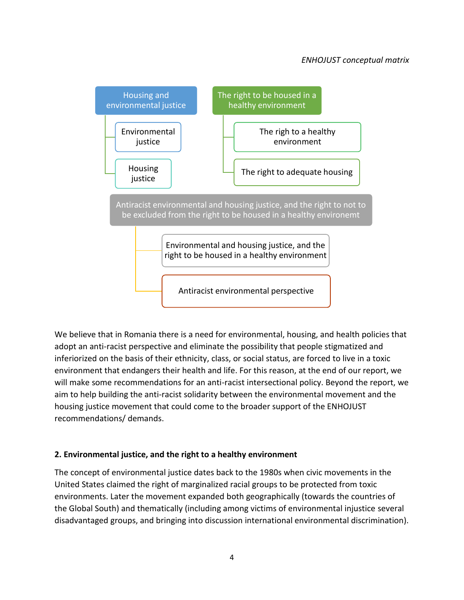## *ENHOJUST conceptual matrix*



We believe that in Romania there is a need for environmental, housing, and health policies that adopt an anti-racist perspective and eliminate the possibility that people stigmatized and inferiorized on the basis of their ethnicity, class, or social status, are forced to live in a toxic environment that endangers their health and life. For this reason, at the end of our report, we will make some recommendations for an anti-racist intersectional policy. Beyond the report, we aim to help building the anti-racist solidarity between the environmental movement and the housing justice movement that could come to the broader support of the ENHOJUST recommendations/ demands.

## **2. Environmental justice, and the right to a healthy environment**

The concept of environmental justice dates back to the 1980s when civic movements in the United States claimed the right of marginalized racial groups to be protected from toxic environments. Later the movement expanded both geographically (towards the countries of the Global South) and thematically (including among victims of environmental injustice several disadvantaged groups, and bringing into discussion international environmental discrimination).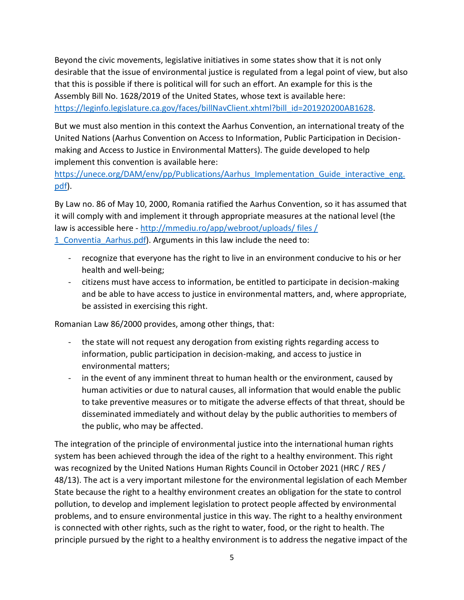Beyond the civic movements, legislative initiatives in some states show that it is not only desirable that the issue of environmental justice is regulated from a legal point of view, but also that this is possible if there is political will for such an effort. An example for this is the Assembly Bill No. 1628/2019 of the United States, whose text is available here: [https://leginfo.legislature.ca.gov/faces/billNavClient.xhtml?bill\\_id=201920200AB1628.](https://leginfo.legislature.ca.gov/faces/billNavClient.xhtml?bill_id=201920200AB1628)

But we must also mention in this context the Aarhus Convention, an international treaty of the United Nations (Aarhus Convention on Access to Information, Public Participation in Decisionmaking and Access to Justice in Environmental Matters). The guide developed to help implement this convention is available here:

[https://unece.org/DAM/env/pp/Publications/Aarhus\\_Implementation\\_Guide\\_interactive\\_eng.](https://unece.org/DAM/env/pp/Publications/Aarhus_Implementation_Guide_interactive_eng.pdf) [pdf\)](https://unece.org/DAM/env/pp/Publications/Aarhus_Implementation_Guide_interactive_eng.pdf).

By Law no. 86 of May 10, 2000, Romania ratified the Aarhus Convention, so it has assumed that it will comply with and implement it through appropriate measures at the national level (the law is accessible here - http://mmediu.ro/app/webroot/uploads/ files / 1 Conventia Aarhus.pdf). Arguments in this law include the need to:

- recognize that everyone has the right to live in an environment conducive to his or her health and well-being;
- citizens must have access to information, be entitled to participate in decision-making and be able to have access to justice in environmental matters, and, where appropriate, be assisted in exercising this right.

Romanian Law 86/2000 provides, among other things, that:

- the state will not request any derogation from existing rights regarding access to information, public participation in decision-making, and access to justice in environmental matters;
- in the event of any imminent threat to human health or the environment, caused by human activities or due to natural causes, all information that would enable the public to take preventive measures or to mitigate the adverse effects of that threat, should be disseminated immediately and without delay by the public authorities to members of the public, who may be affected.

The integration of the principle of environmental justice into the international human rights system has been achieved through the idea of the right to a healthy environment. This right was recognized by the United Nations Human Rights Council in October 2021 (HRC / RES / 48/13). The act is a very important milestone for the environmental legislation of each Member State because the right to a healthy environment creates an obligation for the state to control pollution, to develop and implement legislation to protect people affected by environmental problems, and to ensure environmental justice in this way. The right to a healthy environment is connected with other rights, such as the right to water, food, or the right to health. The principle pursued by the right to a healthy environment is to address the negative impact of the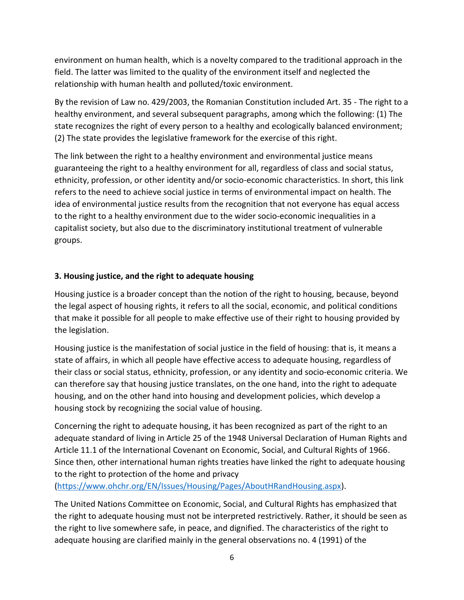environment on human health, which is a novelty compared to the traditional approach in the field. The latter was limited to the quality of the environment itself and neglected the relationship with human health and polluted/toxic environment.

By the revision of Law no. 429/2003, the Romanian Constitution included Art. 35 - The right to a healthy environment, and several subsequent paragraphs, among which the following: (1) The state recognizes the right of every person to a healthy and ecologically balanced environment; (2) The state provides the legislative framework for the exercise of this right.

The link between the right to a healthy environment and environmental justice means guaranteeing the right to a healthy environment for all, regardless of class and social status, ethnicity, profession, or other identity and/or socio-economic characteristics. In short, this link refers to the need to achieve social justice in terms of environmental impact on health. The idea of environmental justice results from the recognition that not everyone has equal access to the right to a healthy environment due to the wider socio-economic inequalities in a capitalist society, but also due to the discriminatory institutional treatment of vulnerable groups.

## **3. Housing justice, and the right to adequate housing**

Housing justice is a broader concept than the notion of the right to housing, because, beyond the legal aspect of housing rights, it refers to all the social, economic, and political conditions that make it possible for all people to make effective use of their right to housing provided by the legislation.

Housing justice is the manifestation of social justice in the field of housing: that is, it means a state of affairs, in which all people have effective access to adequate housing, regardless of their class or social status, ethnicity, profession, or any identity and socio-economic criteria. We can therefore say that housing justice translates, on the one hand, into the right to adequate housing, and on the other hand into housing and development policies, which develop a housing stock by recognizing the social value of housing.

Concerning the right to adequate housing, it has been recognized as part of the right to an adequate standard of living in Article 25 of the 1948 Universal Declaration of Human Rights and Article 11.1 of the International Covenant on Economic, Social, and Cultural Rights of 1966. Since then, other international human rights treaties have linked the right to adequate housing to the right to protection of the home and privacy

[\(https://www.ohchr.org/EN/Issues/Housing/Pages/AboutHRandHousing.aspx\)](https://www.ohchr.org/EN/Issues/Housing/Pages/AboutHRandHousing.aspx).

The United Nations Committee on Economic, Social, and Cultural Rights has emphasized that the right to adequate housing must not be interpreted restrictively. Rather, it should be seen as the right to live somewhere safe, in peace, and dignified. The characteristics of the right to adequate housing are clarified mainly in the general observations no. 4 (1991) of the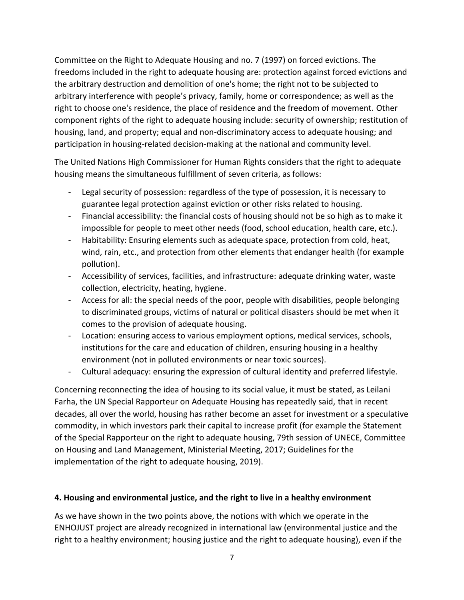Committee on the Right to Adequate Housing and no. 7 (1997) on forced evictions. The freedoms included in the right to adequate housing are: protection against forced evictions and the arbitrary destruction and demolition of one's home; the right not to be subjected to arbitrary interference with people's privacy, family, home or correspondence; as well as the right to choose one's residence, the place of residence and the freedom of movement. Other component rights of the right to adequate housing include: security of ownership; restitution of housing, land, and property; equal and non-discriminatory access to adequate housing; and participation in housing-related decision-making at the national and community level.

The United Nations High Commissioner for Human Rights considers that the right to adequate housing means the simultaneous fulfillment of seven criteria, as follows:

- Legal security of possession: regardless of the type of possession, it is necessary to guarantee legal protection against eviction or other risks related to housing.
- Financial accessibility: the financial costs of housing should not be so high as to make it impossible for people to meet other needs (food, school education, health care, etc.).
- Habitability: Ensuring elements such as adequate space, protection from cold, heat, wind, rain, etc., and protection from other elements that endanger health (for example pollution).
- Accessibility of services, facilities, and infrastructure: adequate drinking water, waste collection, electricity, heating, hygiene.
- Access for all: the special needs of the poor, people with disabilities, people belonging to discriminated groups, victims of natural or political disasters should be met when it comes to the provision of adequate housing.
- Location: ensuring access to various employment options, medical services, schools, institutions for the care and education of children, ensuring housing in a healthy environment (not in polluted environments or near toxic sources).
- Cultural adequacy: ensuring the expression of cultural identity and preferred lifestyle.

Concerning reconnecting the idea of housing to its social value, it must be stated, as Leilani Farha, the UN Special Rapporteur on Adequate Housing has repeatedly said, that in recent decades, all over the world, housing has rather become an asset for investment or a speculative commodity, in which investors park their capital to increase profit (for example the Statement of the Special Rapporteur on the right to adequate housing, 79th session of UNECE, Committee on Housing and Land Management, Ministerial Meeting, 2017; Guidelines for the implementation of the right to adequate housing, 2019).

## **4. Housing and environmental justice, and the right to live in a healthy environment**

As we have shown in the two points above, the notions with which we operate in the ENHOJUST project are already recognized in international law (environmental justice and the right to a healthy environment; housing justice and the right to adequate housing), even if the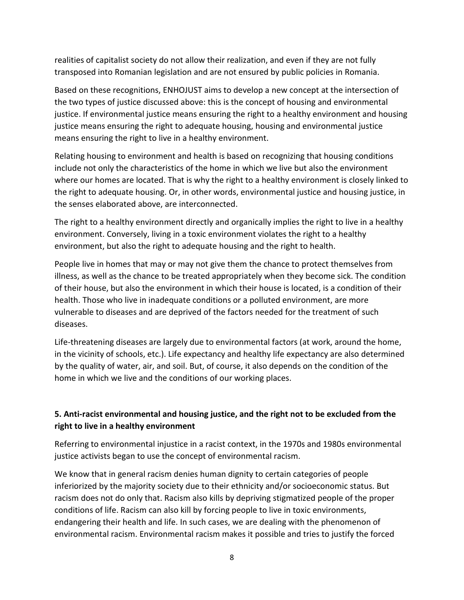realities of capitalist society do not allow their realization, and even if they are not fully transposed into Romanian legislation and are not ensured by public policies in Romania.

Based on these recognitions, ENHOJUST aims to develop a new concept at the intersection of the two types of justice discussed above: this is the concept of housing and environmental justice. If environmental justice means ensuring the right to a healthy environment and housing justice means ensuring the right to adequate housing, housing and environmental justice means ensuring the right to live in a healthy environment.

Relating housing to environment and health is based on recognizing that housing conditions include not only the characteristics of the home in which we live but also the environment where our homes are located. That is why the right to a healthy environment is closely linked to the right to adequate housing. Or, in other words, environmental justice and housing justice, in the senses elaborated above, are interconnected.

The right to a healthy environment directly and organically implies the right to live in a healthy environment. Conversely, living in a toxic environment violates the right to a healthy environment, but also the right to adequate housing and the right to health.

People live in homes that may or may not give them the chance to protect themselves from illness, as well as the chance to be treated appropriately when they become sick. The condition of their house, but also the environment in which their house is located, is a condition of their health. Those who live in inadequate conditions or a polluted environment, are more vulnerable to diseases and are deprived of the factors needed for the treatment of such diseases.

Life-threatening diseases are largely due to environmental factors (at work, around the home, in the vicinity of schools, etc.). Life expectancy and healthy life expectancy are also determined by the quality of water, air, and soil. But, of course, it also depends on the condition of the home in which we live and the conditions of our working places.

# **5. Anti-racist environmental and housing justice, and the right not to be excluded from the right to live in a healthy environment**

Referring to environmental injustice in a racist context, in the 1970s and 1980s environmental justice activists began to use the concept of environmental racism.

We know that in general racism denies human dignity to certain categories of people inferiorized by the majority society due to their ethnicity and/or socioeconomic status. But racism does not do only that. Racism also kills by depriving stigmatized people of the proper conditions of life. Racism can also kill by forcing people to live in toxic environments, endangering their health and life. In such cases, we are dealing with the phenomenon of environmental racism. Environmental racism makes it possible and tries to justify the forced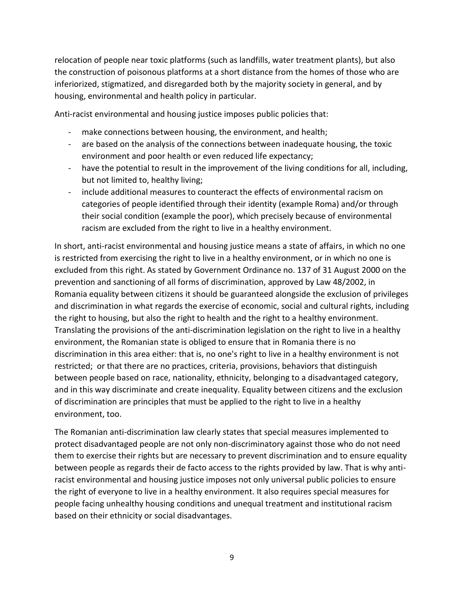relocation of people near toxic platforms (such as landfills, water treatment plants), but also the construction of poisonous platforms at a short distance from the homes of those who are inferiorized, stigmatized, and disregarded both by the majority society in general, and by housing, environmental and health policy in particular.

Anti-racist environmental and housing justice imposes public policies that:

- make connections between housing, the environment, and health;
- are based on the analysis of the connections between inadequate housing, the toxic environment and poor health or even reduced life expectancy;
- have the potential to result in the improvement of the living conditions for all, including, but not limited to, healthy living;
- include additional measures to counteract the effects of environmental racism on categories of people identified through their identity (example Roma) and/or through their social condition (example the poor), which precisely because of environmental racism are excluded from the right to live in a healthy environment.

In short, anti-racist environmental and housing justice means a state of affairs, in which no one is restricted from exercising the right to live in a healthy environment, or in which no one is excluded from this right. As stated by Government Ordinance no. 137 of 31 August 2000 on the prevention and sanctioning of all forms of discrimination, approved by Law 48/2002, in Romania equality between citizens it should be guaranteed alongside the exclusion of privileges and discrimination in what regards the exercise of economic, social and cultural rights, including the right to housing, but also the right to health and the right to a healthy environment. Translating the provisions of the anti-discrimination legislation on the right to live in a healthy environment, the Romanian state is obliged to ensure that in Romania there is no discrimination in this area either: that is, no one's right to live in a healthy environment is not restricted; or that there are no practices, criteria, provisions, behaviors that distinguish between people based on race, nationality, ethnicity, belonging to a disadvantaged category, and in this way discriminate and create inequality. Equality between citizens and the exclusion of discrimination are principles that must be applied to the right to live in a healthy environment, too.

The Romanian anti-discrimination law clearly states that special measures implemented to protect disadvantaged people are not only non-discriminatory against those who do not need them to exercise their rights but are necessary to prevent discrimination and to ensure equality between people as regards their de facto access to the rights provided by law. That is why antiracist environmental and housing justice imposes not only universal public policies to ensure the right of everyone to live in a healthy environment. It also requires special measures for people facing unhealthy housing conditions and unequal treatment and institutional racism based on their ethnicity or social disadvantages.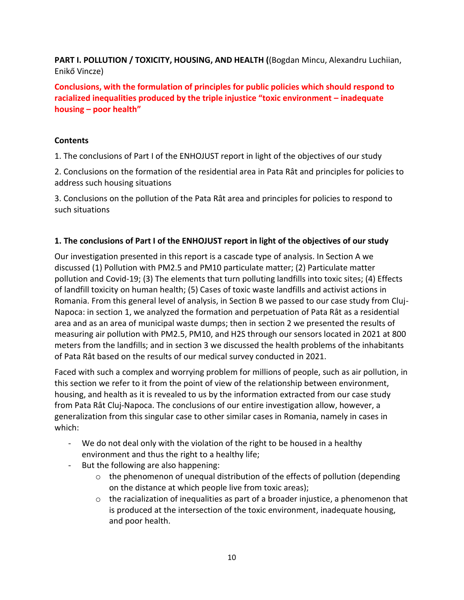**PART I. POLLUTION / TOXICITY, HOUSING, AND HEALTH (**(Bogdan Mincu, Alexandru Luchiian, Enikő Vincze)

**Conclusions, with the formulation of principles for public policies which should respond to racialized inequalities produced by the triple injustice "toxic environment – inadequate housing – poor health"** 

## **Contents**

1. The conclusions of Part I of the ENHOJUST report in light of the objectives of our study

2. Conclusions on the formation of the residential area in Pata Rât and principles for policies to address such housing situations

3. Conclusions on the pollution of the Pata Rât area and principles for policies to respond to such situations

## **1. The conclusions of Part I of the ENHOJUST report in light of the objectives of our study**

Our investigation presented in this report is a cascade type of analysis. In Section A we discussed (1) Pollution with PM2.5 and PM10 particulate matter; (2) Particulate matter pollution and Covid-19; (3) The elements that turn polluting landfills into toxic sites; (4) Effects of landfill toxicity on human health; (5) Cases of toxic waste landfills and activist actions in Romania. From this general level of analysis, in Section B we passed to our case study from Cluj-Napoca: in section 1, we analyzed the formation and perpetuation of Pata Rât as a residential area and as an area of municipal waste dumps; then in section 2 we presented the results of measuring air pollution with PM2.5, PM10, and H2S through our sensors located in 2021 at 800 meters from the landfills; and in section 3 we discussed the health problems of the inhabitants of Pata Rât based on the results of our medical survey conducted in 2021.

Faced with such a complex and worrying problem for millions of people, such as air pollution, in this section we refer to it from the point of view of the relationship between environment, housing, and health as it is revealed to us by the information extracted from our case study from Pata Rât Cluj-Napoca. The conclusions of our entire investigation allow, however, a generalization from this singular case to other similar cases in Romania, namely in cases in which:

- We do not deal only with the violation of the right to be housed in a healthy environment and thus the right to a healthy life;
- But the following are also happening:
	- $\circ$  the phenomenon of unequal distribution of the effects of pollution (depending on the distance at which people live from toxic areas);
	- $\circ$  the racialization of inequalities as part of a broader injustice, a phenomenon that is produced at the intersection of the toxic environment, inadequate housing, and poor health.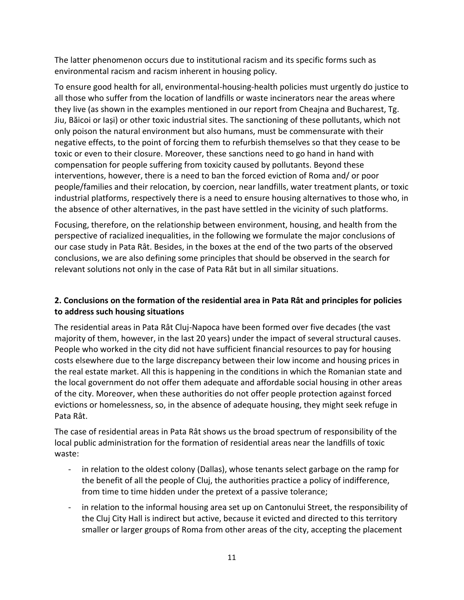The latter phenomenon occurs due to institutional racism and its specific forms such as environmental racism and racism inherent in housing policy.

To ensure good health for all, environmental-housing-health policies must urgently do justice to all those who suffer from the location of landfills or waste incinerators near the areas where they live (as shown in the examples mentioned in our report from Cheajna and Bucharest, Tg. Jiu, Băicoi or Iași) or other toxic industrial sites. The sanctioning of these pollutants, which not only poison the natural environment but also humans, must be commensurate with their negative effects, to the point of forcing them to refurbish themselves so that they cease to be toxic or even to their closure. Moreover, these sanctions need to go hand in hand with compensation for people suffering from toxicity caused by pollutants. Beyond these interventions, however, there is a need to ban the forced eviction of Roma and/ or poor people/families and their relocation, by coercion, near landfills, water treatment plants, or toxic industrial platforms, respectively there is a need to ensure housing alternatives to those who, in the absence of other alternatives, in the past have settled in the vicinity of such platforms.

Focusing, therefore, on the relationship between environment, housing, and health from the perspective of racialized inequalities, in the following we formulate the major conclusions of our case study in Pata Rât. Besides, in the boxes at the end of the two parts of the observed conclusions, we are also defining some principles that should be observed in the search for relevant solutions not only in the case of Pata Rât but in all similar situations.

## **2. Conclusions on the formation of the residential area in Pata Rât and principles for policies to address such housing situations**

The residential areas in Pata Rât Cluj-Napoca have been formed over five decades (the vast majority of them, however, in the last 20 years) under the impact of several structural causes. People who worked in the city did not have sufficient financial resources to pay for housing costs elsewhere due to the large discrepancy between their low income and housing prices in the real estate market. All this is happening in the conditions in which the Romanian state and the local government do not offer them adequate and affordable social housing in other areas of the city. Moreover, when these authorities do not offer people protection against forced evictions or homelessness, so, in the absence of adequate housing, they might seek refuge in Pata Rât.

The case of residential areas in Pata Rât shows us the broad spectrum of responsibility of the local public administration for the formation of residential areas near the landfills of toxic waste:

- in relation to the oldest colony (Dallas), whose tenants select garbage on the ramp for the benefit of all the people of Cluj, the authorities practice a policy of indifference, from time to time hidden under the pretext of a passive tolerance;
- in relation to the informal housing area set up on Cantonului Street, the responsibility of the Cluj City Hall is indirect but active, because it evicted and directed to this territory smaller or larger groups of Roma from other areas of the city, accepting the placement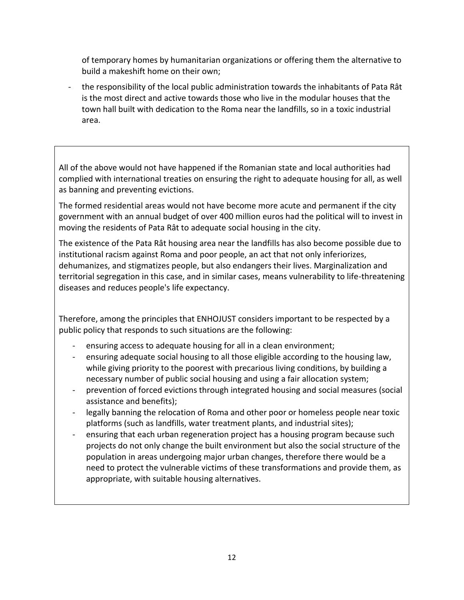of temporary homes by humanitarian organizations or offering them the alternative to build a makeshift home on their own;

- the responsibility of the local public administration towards the inhabitants of Pata Rât is the most direct and active towards those who live in the modular houses that the town hall built with dedication to the Roma near the landfills, so in a toxic industrial area.

All of the above would not have happened if the Romanian state and local authorities had complied with international treaties on ensuring the right to adequate housing for all, as well as banning and preventing evictions.

The formed residential areas would not have become more acute and permanent if the city government with an annual budget of over 400 million euros had the political will to invest in moving the residents of Pata Rât to adequate social housing in the city.

The existence of the Pata Rât housing area near the landfills has also become possible due to institutional racism against Roma and poor people, an act that not only inferiorizes, dehumanizes, and stigmatizes people, but also endangers their lives. Marginalization and territorial segregation in this case, and in similar cases, means vulnerability to life-threatening diseases and reduces people's life expectancy.

Therefore, among the principles that ENHOJUST considers important to be respected by a public policy that responds to such situations are the following:

- ensuring access to adequate housing for all in a clean environment;
- ensuring adequate social housing to all those eligible according to the housing law, while giving priority to the poorest with precarious living conditions, by building a necessary number of public social housing and using a fair allocation system;
- prevention of forced evictions through integrated housing and social measures (social assistance and benefits);
- legally banning the relocation of Roma and other poor or homeless people near toxic platforms (such as landfills, water treatment plants, and industrial sites);
- ensuring that each urban regeneration project has a housing program because such projects do not only change the built environment but also the social structure of the population in areas undergoing major urban changes, therefore there would be a need to protect the vulnerable victims of these transformations and provide them, as appropriate, with suitable housing alternatives.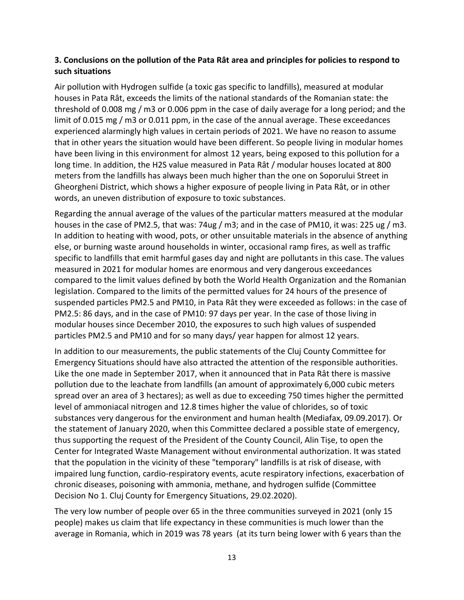## **3. Conclusions on the pollution of the Pata Rât area and principles for policies to respond to such situations**

Air pollution with Hydrogen sulfide (a toxic gas specific to landfills), measured at modular houses in Pata Rât, exceeds the limits of the national standards of the Romanian state: the threshold of 0.008 mg / m3 or 0.006 ppm in the case of daily average for a long period; and the limit of 0.015 mg / m3 or 0.011 ppm, in the case of the annual average. These exceedances experienced alarmingly high values in certain periods of 2021. We have no reason to assume that in other years the situation would have been different. So people living in modular homes have been living in this environment for almost 12 years, being exposed to this pollution for a long time. In addition, the H2S value measured in Pata Rât / modular houses located at 800 meters from the landfills has always been much higher than the one on Soporului Street in Gheorgheni District, which shows a higher exposure of people living in Pata Rât, or in other words, an uneven distribution of exposure to toxic substances.

Regarding the annual average of the values of the particular matters measured at the modular houses in the case of PM2.5, that was: 74ug / m3; and in the case of PM10, it was: 225 ug / m3. In addition to heating with wood, pots, or other unsuitable materials in the absence of anything else, or burning waste around households in winter, occasional ramp fires, as well as traffic specific to landfills that emit harmful gases day and night are pollutants in this case. The values measured in 2021 for modular homes are enormous and very dangerous exceedances compared to the limit values defined by both the World Health Organization and the Romanian legislation. Compared to the limits of the permitted values for 24 hours of the presence of suspended particles PM2.5 and PM10, in Pata Rât they were exceeded as follows: in the case of PM2.5: 86 days, and in the case of PM10: 97 days per year. In the case of those living in modular houses since December 2010, the exposures to such high values of suspended particles PM2.5 and PM10 and for so many days/ year happen for almost 12 years.

In addition to our measurements, the public statements of the Cluj County Committee for Emergency Situations should have also attracted the attention of the responsible authorities. Like the one made in September 2017, when it announced that in Pata Rât there is massive pollution due to the leachate from landfills (an amount of approximately 6,000 cubic meters spread over an area of 3 hectares); as well as due to exceeding 750 times higher the permitted level of ammoniacal nitrogen and 12.8 times higher the value of chlorides, so of toxic substances very dangerous for the environment and human health (Mediafax, 09.09.2017). Or the statement of January 2020, when this Committee declared a possible state of emergency, thus supporting the request of the President of the County Council, Alin Tișe, to open the Center for Integrated Waste Management without environmental authorization. It was stated that the population in the vicinity of these "temporary" landfills is at risk of disease, with impaired lung function, cardio-respiratory events, acute respiratory infections, exacerbation of chronic diseases, poisoning with ammonia, methane, and hydrogen sulfide (Committee Decision No 1. Cluj County for Emergency Situations, 29.02.2020).

The very low number of people over 65 in the three communities surveyed in 2021 (only 15 people) makes us claim that life expectancy in these communities is much lower than the average in Romania, which in 2019 was 78 years (at its turn being lower with 6 years than the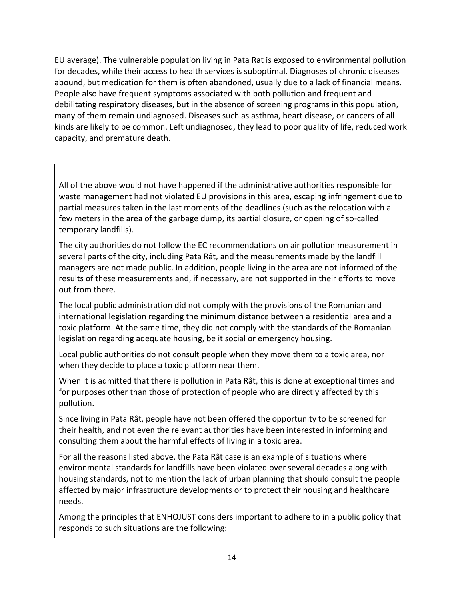EU average). The vulnerable population living in Pata Rat is exposed to environmental pollution for decades, while their access to health services is suboptimal. Diagnoses of chronic diseases abound, but medication for them is often abandoned, usually due to a lack of financial means. People also have frequent symptoms associated with both pollution and frequent and debilitating respiratory diseases, but in the absence of screening programs in this population, many of them remain undiagnosed. Diseases such as asthma, heart disease, or cancers of all kinds are likely to be common. Left undiagnosed, they lead to poor quality of life, reduced work capacity, and premature death.

All of the above would not have happened if the administrative authorities responsible for waste management had not violated EU provisions in this area, escaping infringement due to partial measures taken in the last moments of the deadlines (such as the relocation with a few meters in the area of the garbage dump, its partial closure, or opening of so-called temporary landfills).

The city authorities do not follow the EC recommendations on air pollution measurement in several parts of the city, including Pata Rât, and the measurements made by the landfill managers are not made public. In addition, people living in the area are not informed of the results of these measurements and, if necessary, are not supported in their efforts to move out from there.

The local public administration did not comply with the provisions of the Romanian and international legislation regarding the minimum distance between a residential area and a toxic platform. At the same time, they did not comply with the standards of the Romanian legislation regarding adequate housing, be it social or emergency housing.

Local public authorities do not consult people when they move them to a toxic area, nor when they decide to place a toxic platform near them.

When it is admitted that there is pollution in Pata Rât, this is done at exceptional times and for purposes other than those of protection of people who are directly affected by this pollution.

Since living in Pata Rât, people have not been offered the opportunity to be screened for their health, and not even the relevant authorities have been interested in informing and consulting them about the harmful effects of living in a toxic area.

For all the reasons listed above, the Pata Rât case is an example of situations where environmental standards for landfills have been violated over several decades along with housing standards, not to mention the lack of urban planning that should consult the people affected by major infrastructure developments or to protect their housing and healthcare needs.

Among the principles that ENHOJUST considers important to adhere to in a public policy that responds to such situations are the following: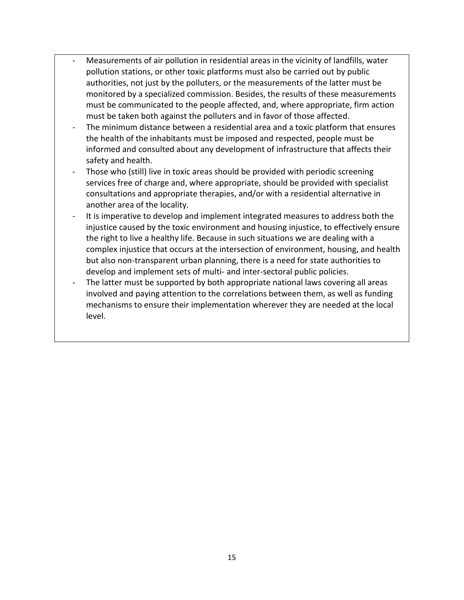- Measurements of air pollution in residential areas in the vicinity of landfills, water pollution stations, or other toxic platforms must also be carried out by public authorities, not just by the polluters, or the measurements of the latter must be monitored by a specialized commission. Besides, the results of these measurements must be communicated to the people affected, and, where appropriate, firm action must be taken both against the polluters and in favor of those affected.
- The minimum distance between a residential area and a toxic platform that ensures the health of the inhabitants must be imposed and respected, people must be informed and consulted about any development of infrastructure that affects their safety and health.
- Those who (still) live in toxic areas should be provided with periodic screening services free of charge and, where appropriate, should be provided with specialist consultations and appropriate therapies, and/or with a residential alternative in another area of the locality.
- It is imperative to develop and implement integrated measures to address both the injustice caused by the toxic environment and housing injustice, to effectively ensure the right to live a healthy life. Because in such situations we are dealing with a complex injustice that occurs at the intersection of environment, housing, and health but also non-transparent urban planning, there is a need for state authorities to develop and implement sets of multi- and inter-sectoral public policies.
- The latter must be supported by both appropriate national laws covering all areas involved and paying attention to the correlations between them, as well as funding mechanisms to ensure their implementation wherever they are needed at the local level.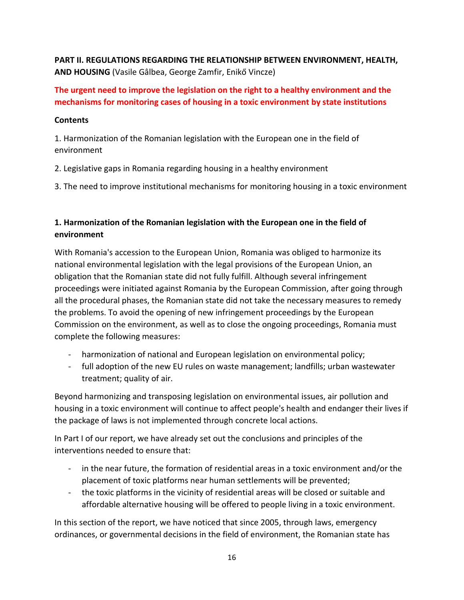**PART II. REGULATIONS REGARDING THE RELATIONSHIP BETWEEN ENVIRONMENT, HEALTH, AND HOUSING** (Vasile Gâlbea, George Zamfir, Enikő Vincze)

# **The urgent need to improve the legislation on the right to a healthy environment and the mechanisms for monitoring cases of housing in a toxic environment by state institutions**

## **Contents**

1. Harmonization of the Romanian legislation with the European one in the field of environment

2. Legislative gaps in Romania regarding housing in a healthy environment

3. The need to improve institutional mechanisms for monitoring housing in a toxic environment

# **1. Harmonization of the Romanian legislation with the European one in the field of environment**

With Romania's accession to the European Union, Romania was obliged to harmonize its national environmental legislation with the legal provisions of the European Union, an obligation that the Romanian state did not fully fulfill. Although several infringement proceedings were initiated against Romania by the European Commission, after going through all the procedural phases, the Romanian state did not take the necessary measures to remedy the problems. To avoid the opening of new infringement proceedings by the European Commission on the environment, as well as to close the ongoing proceedings, Romania must complete the following measures:

- harmonization of national and European legislation on environmental policy;
- full adoption of the new EU rules on waste management; landfills; urban wastewater treatment; quality of air.

Beyond harmonizing and transposing legislation on environmental issues, air pollution and housing in a toxic environment will continue to affect people's health and endanger their lives if the package of laws is not implemented through concrete local actions.

In Part I of our report, we have already set out the conclusions and principles of the interventions needed to ensure that:

- in the near future, the formation of residential areas in a toxic environment and/or the placement of toxic platforms near human settlements will be prevented;
- the toxic platforms in the vicinity of residential areas will be closed or suitable and affordable alternative housing will be offered to people living in a toxic environment.

In this section of the report, we have noticed that since 2005, through laws, emergency ordinances, or governmental decisions in the field of environment, the Romanian state has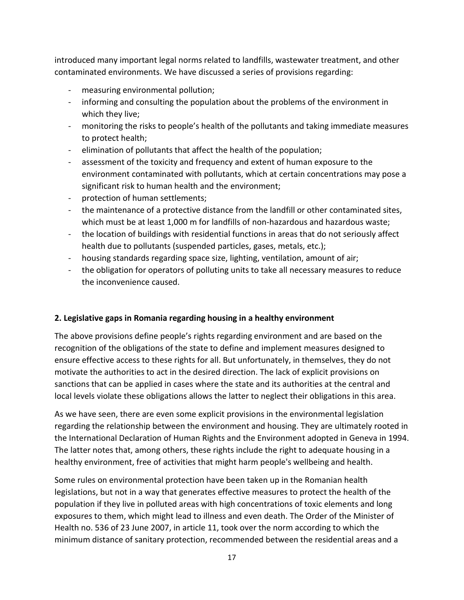introduced many important legal norms related to landfills, wastewater treatment, and other contaminated environments. We have discussed a series of provisions regarding:

- measuring environmental pollution;
- informing and consulting the population about the problems of the environment in which they live;
- monitoring the risks to people's health of the pollutants and taking immediate measures to protect health;
- elimination of pollutants that affect the health of the population;
- assessment of the toxicity and frequency and extent of human exposure to the environment contaminated with pollutants, which at certain concentrations may pose a significant risk to human health and the environment;
- protection of human settlements;
- the maintenance of a protective distance from the landfill or other contaminated sites, which must be at least 1,000 m for landfills of non-hazardous and hazardous waste;
- the location of buildings with residential functions in areas that do not seriously affect health due to pollutants (suspended particles, gases, metals, etc.);
- housing standards regarding space size, lighting, ventilation, amount of air;
- the obligation for operators of polluting units to take all necessary measures to reduce the inconvenience caused.

## **2. Legislative gaps in Romania regarding housing in a healthy environment**

The above provisions define people's rights regarding environment and are based on the recognition of the obligations of the state to define and implement measures designed to ensure effective access to these rights for all. But unfortunately, in themselves, they do not motivate the authorities to act in the desired direction. The lack of explicit provisions on sanctions that can be applied in cases where the state and its authorities at the central and local levels violate these obligations allows the latter to neglect their obligations in this area.

As we have seen, there are even some explicit provisions in the environmental legislation regarding the relationship between the environment and housing. They are ultimately rooted in the International Declaration of Human Rights and the Environment adopted in Geneva in 1994. The latter notes that, among others, these rights include the right to adequate housing in a healthy environment, free of activities that might harm people's wellbeing and health.

Some rules on environmental protection have been taken up in the Romanian health legislations, but not in a way that generates effective measures to protect the health of the population if they live in polluted areas with high concentrations of toxic elements and long exposures to them, which might lead to illness and even death. The Order of the Minister of Health no. 536 of 23 June 2007, in article 11, took over the norm according to which the minimum distance of sanitary protection, recommended between the residential areas and a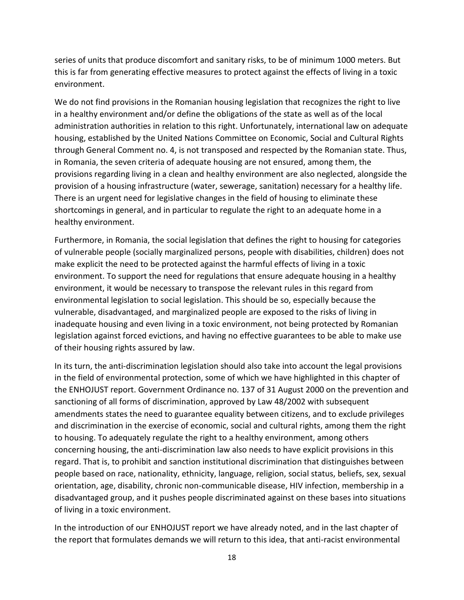series of units that produce discomfort and sanitary risks, to be of minimum 1000 meters. But this is far from generating effective measures to protect against the effects of living in a toxic environment.

We do not find provisions in the Romanian housing legislation that recognizes the right to live in a healthy environment and/or define the obligations of the state as well as of the local administration authorities in relation to this right. Unfortunately, international law on adequate housing, established by the United Nations Committee on Economic, Social and Cultural Rights through General Comment no. 4, is not transposed and respected by the Romanian state. Thus, in Romania, the seven criteria of adequate housing are not ensured, among them, the provisions regarding living in a clean and healthy environment are also neglected, alongside the provision of a housing infrastructure (water, sewerage, sanitation) necessary for a healthy life. There is an urgent need for legislative changes in the field of housing to eliminate these shortcomings in general, and in particular to regulate the right to an adequate home in a healthy environment.

Furthermore, in Romania, the social legislation that defines the right to housing for categories of vulnerable people (socially marginalized persons, people with disabilities, children) does not make explicit the need to be protected against the harmful effects of living in a toxic environment. To support the need for regulations that ensure adequate housing in a healthy environment, it would be necessary to transpose the relevant rules in this regard from environmental legislation to social legislation. This should be so, especially because the vulnerable, disadvantaged, and marginalized people are exposed to the risks of living in inadequate housing and even living in a toxic environment, not being protected by Romanian legislation against forced evictions, and having no effective guarantees to be able to make use of their housing rights assured by law.

In its turn, the anti-discrimination legislation should also take into account the legal provisions in the field of environmental protection, some of which we have highlighted in this chapter of the ENHOJUST report. Government Ordinance no. 137 of 31 August 2000 on the prevention and sanctioning of all forms of discrimination, approved by Law 48/2002 with subsequent amendments states the need to guarantee equality between citizens, and to exclude privileges and discrimination in the exercise of economic, social and cultural rights, among them the right to housing. To adequately regulate the right to a healthy environment, among others concerning housing, the anti-discrimination law also needs to have explicit provisions in this regard. That is, to prohibit and sanction institutional discrimination that distinguishes between people based on race, nationality, ethnicity, language, religion, social status, beliefs, sex, sexual orientation, age, disability, chronic non-communicable disease, HIV infection, membership in a disadvantaged group, and it pushes people discriminated against on these bases into situations of living in a toxic environment.

In the introduction of our ENHOJUST report we have already noted, and in the last chapter of the report that formulates demands we will return to this idea, that anti-racist environmental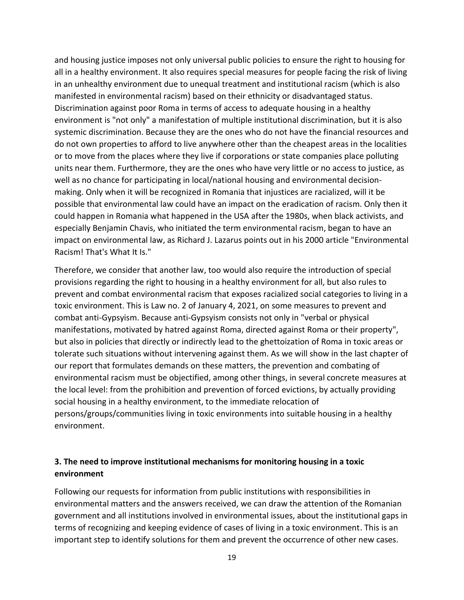and housing justice imposes not only universal public policies to ensure the right to housing for all in a healthy environment. It also requires special measures for people facing the risk of living in an unhealthy environment due to unequal treatment and institutional racism (which is also manifested in environmental racism) based on their ethnicity or disadvantaged status. Discrimination against poor Roma in terms of access to adequate housing in a healthy environment is "not only" a manifestation of multiple institutional discrimination, but it is also systemic discrimination. Because they are the ones who do not have the financial resources and do not own properties to afford to live anywhere other than the cheapest areas in the localities or to move from the places where they live if corporations or state companies place polluting units near them. Furthermore, they are the ones who have very little or no access to justice, as well as no chance for participating in local/national housing and environmental decisionmaking. Only when it will be recognized in Romania that injustices are racialized, will it be possible that environmental law could have an impact on the eradication of racism. Only then it could happen in Romania what happened in the USA after the 1980s, when black activists, and especially Benjamin Chavis, who initiated the term environmental racism, began to have an impact on environmental law, as Richard J. Lazarus points out in his 2000 article "Environmental Racism! That's What It Is."

Therefore, we consider that another law, too would also require the introduction of special provisions regarding the right to housing in a healthy environment for all, but also rules to prevent and combat environmental racism that exposes racialized social categories to living in a toxic environment. This is Law no. 2 of January 4, 2021, on some measures to prevent and combat anti-Gypsyism. Because anti-Gypsyism consists not only in "verbal or physical manifestations, motivated by hatred against Roma, directed against Roma or their property", but also in policies that directly or indirectly lead to the ghettoization of Roma in toxic areas or tolerate such situations without intervening against them. As we will show in the last chapter of our report that formulates demands on these matters, the prevention and combating of environmental racism must be objectified, among other things, in several concrete measures at the local level: from the prohibition and prevention of forced evictions, by actually providing social housing in a healthy environment, to the immediate relocation of persons/groups/communities living in toxic environments into suitable housing in a healthy environment.

# **3. The need to improve institutional mechanisms for monitoring housing in a toxic environment**

Following our requests for information from public institutions with responsibilities in environmental matters and the answers received, we can draw the attention of the Romanian government and all institutions involved in environmental issues, about the institutional gaps in terms of recognizing and keeping evidence of cases of living in a toxic environment. This is an important step to identify solutions for them and prevent the occurrence of other new cases.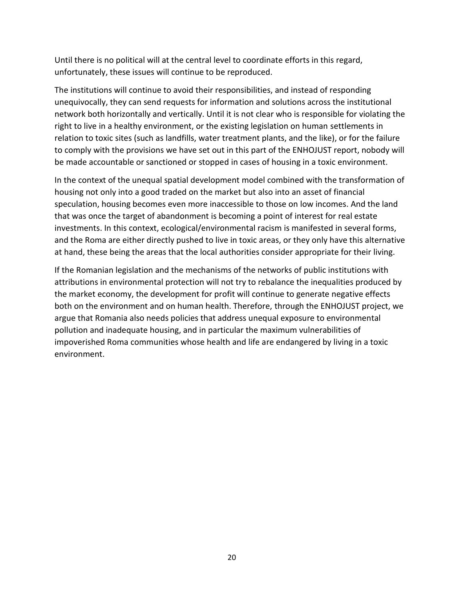Until there is no political will at the central level to coordinate efforts in this regard, unfortunately, these issues will continue to be reproduced.

The institutions will continue to avoid their responsibilities, and instead of responding unequivocally, they can send requests for information and solutions across the institutional network both horizontally and vertically. Until it is not clear who is responsible for violating the right to live in a healthy environment, or the existing legislation on human settlements in relation to toxic sites (such as landfills, water treatment plants, and the like), or for the failure to comply with the provisions we have set out in this part of the ENHOJUST report, nobody will be made accountable or sanctioned or stopped in cases of housing in a toxic environment.

In the context of the unequal spatial development model combined with the transformation of housing not only into a good traded on the market but also into an asset of financial speculation, housing becomes even more inaccessible to those on low incomes. And the land that was once the target of abandonment is becoming a point of interest for real estate investments. In this context, ecological/environmental racism is manifested in several forms, and the Roma are either directly pushed to live in toxic areas, or they only have this alternative at hand, these being the areas that the local authorities consider appropriate for their living.

If the Romanian legislation and the mechanisms of the networks of public institutions with attributions in environmental protection will not try to rebalance the inequalities produced by the market economy, the development for profit will continue to generate negative effects both on the environment and on human health. Therefore, through the ENHOJUST project, we argue that Romania also needs policies that address unequal exposure to environmental pollution and inadequate housing, and in particular the maximum vulnerabilities of impoverished Roma communities whose health and life are endangered by living in a toxic environment.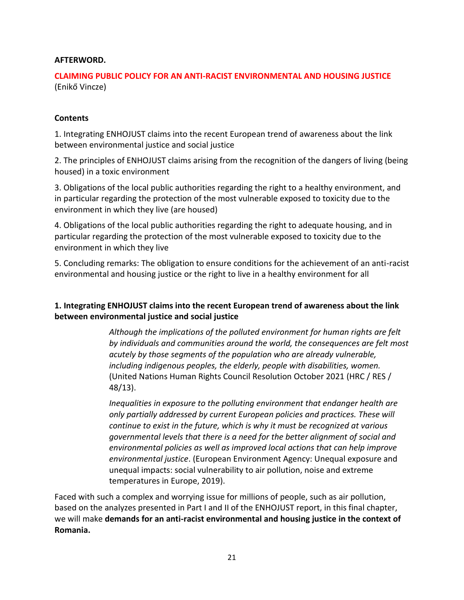### **AFTERWORD.**

## **CLAIMING PUBLIC POLICY FOR AN ANTI-RACIST ENVIRONMENTAL AND HOUSING JUSTICE**  (Enikő Vincze)

### **Contents**

1. Integrating ENHOJUST claims into the recent European trend of awareness about the link between environmental justice and social justice

2. The principles of ENHOJUST claims arising from the recognition of the dangers of living (being housed) in a toxic environment

3. Obligations of the local public authorities regarding the right to a healthy environment, and in particular regarding the protection of the most vulnerable exposed to toxicity due to the environment in which they live (are housed)

4. Obligations of the local public authorities regarding the right to adequate housing, and in particular regarding the protection of the most vulnerable exposed to toxicity due to the environment in which they live

5. Concluding remarks: The obligation to ensure conditions for the achievement of an anti-racist environmental and housing justice or the right to live in a healthy environment for all

## **1. Integrating ENHOJUST claims into the recent European trend of awareness about the link between environmental justice and social justice**

*Although the implications of the polluted environment for human rights are felt by individuals and communities around the world, the consequences are felt most acutely by those segments of the population who are already vulnerable, including indigenous peoples, the elderly, people with disabilities, women.* (United Nations Human Rights Council Resolution October 2021 (HRC / RES / 48/13).

*Inequalities in exposure to the polluting environment that endanger health are only partially addressed by current European policies and practices. These will continue to exist in the future, which is why it must be recognized at various governmental levels that there is a need for the better alignment of social and environmental policies as well as improved local actions that can help improve environmental justice*. (European Environment Agency: Unequal exposure and unequal impacts: social vulnerability to air pollution, noise and extreme temperatures in Europe, 2019).

Faced with such a complex and worrying issue for millions of people, such as air pollution, based on the analyzes presented in Part I and II of the ENHOJUST report, in this final chapter, we will make **demands for an anti-racist environmental and housing justice in the context of Romania.**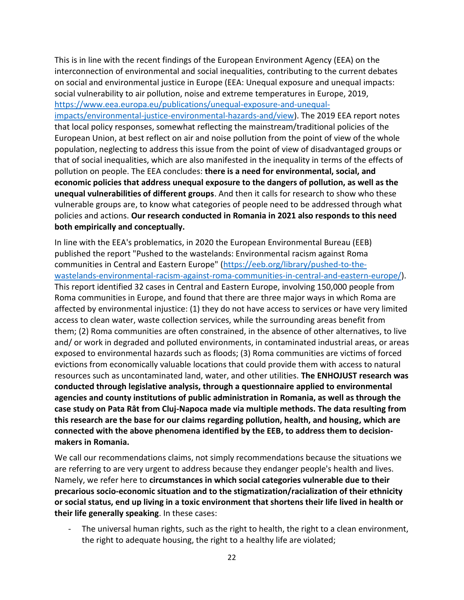This is in line with the recent findings of the European Environment Agency (EEA) on the interconnection of environmental and social inequalities, contributing to the current debates on social and environmental justice in Europe (EEA: Unequal exposure and unequal impacts: social vulnerability to air pollution, noise and extreme temperatures in Europe, 2019, [https://www.eea.europa.eu/publications/unequal-exposure-and-unequal-](https://www.eea.europa.eu/publications/unequal-exposure-and-unequal-impacts/environmental-justice-environmental-hazards-and/view)

[impacts/environmental-justice-environmental-hazards-and/view\)](https://www.eea.europa.eu/publications/unequal-exposure-and-unequal-impacts/environmental-justice-environmental-hazards-and/view). The 2019 EEA report notes that local policy responses, somewhat reflecting the mainstream/traditional policies of the European Union, at best reflect on air and noise pollution from the point of view of the whole population, neglecting to address this issue from the point of view of disadvantaged groups or that of social inequalities, which are also manifested in the inequality in terms of the effects of pollution on people. The EEA concludes: **there is a need for environmental, social, and economic policies that address unequal exposure to the dangers of pollution, as well as the unequal vulnerabilities of different groups**. And then it calls for research to show who these vulnerable groups are, to know what categories of people need to be addressed through what policies and actions. **Our research conducted in Romania in 2021 also responds to this need both empirically and conceptually.**

In line with the EEA's problematics, in 2020 the European Environmental Bureau (EEB) published the report "Pushed to the wastelands: Environmental racism against Roma communities in Central and Eastern Europe" [\(https://eeb.org/library/pushed-to-the](https://eeb.org/library/pushed-to-the-%20wastelands-environmental-racism-against-roma-communities-in-central-and-eastern-europe/)[wastelands-environmental-racism-against-roma-communities-in-central-and-eastern-europe/\)](https://eeb.org/library/pushed-to-the-%20wastelands-environmental-racism-against-roma-communities-in-central-and-eastern-europe/). This report identified 32 cases in Central and Eastern Europe, involving 150,000 people from Roma communities in Europe, and found that there are three major ways in which Roma are affected by environmental injustice: (1) they do not have access to services or have very limited access to clean water, waste collection services, while the surrounding areas benefit from them; (2) Roma communities are often constrained, in the absence of other alternatives, to live and/ or work in degraded and polluted environments, in contaminated industrial areas, or areas exposed to environmental hazards such as floods; (3) Roma communities are victims of forced evictions from economically valuable locations that could provide them with access to natural resources such as uncontaminated land, water, and other utilities. **The ENHOJUST research was conducted through legislative analysis, through a questionnaire applied to environmental agencies and county institutions of public administration in Romania, as well as through the case study on Pata Rât from Cluj-Napoca made via multiple methods. The data resulting from this research are the base for our claims regarding pollution, health, and housing, which are connected with the above phenomena identified by the EEB, to address them to decisionmakers in Romania.** 

We call our recommendations claims, not simply recommendations because the situations we are referring to are very urgent to address because they endanger people's health and lives. Namely, we refer here to **circumstances in which social categories vulnerable due to their precarious socio-economic situation and to the stigmatization/racialization of their ethnicity or social status, end up living in a toxic environment that shortens their life lived in health or their life generally speaking**. In these cases:

- The universal human rights, such as the right to health, the right to a clean environment, the right to adequate housing, the right to a healthy life are violated;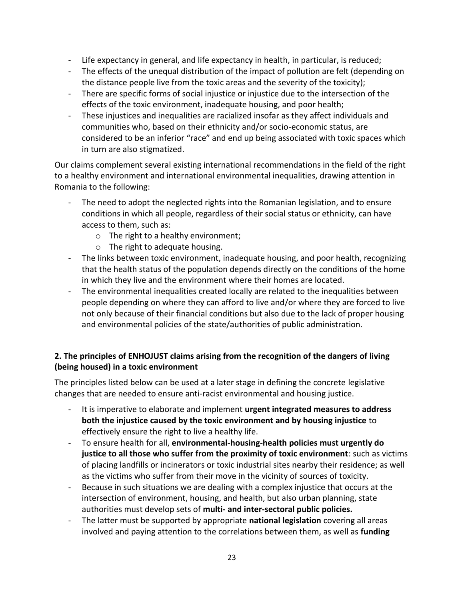- Life expectancy in general, and life expectancy in health, in particular, is reduced;
- The effects of the unequal distribution of the impact of pollution are felt (depending on the distance people live from the toxic areas and the severity of the toxicity);
- There are specific forms of social injustice or injustice due to the intersection of the effects of the toxic environment, inadequate housing, and poor health;
- These injustices and inequalities are racialized insofar as they affect individuals and communities who, based on their ethnicity and/or socio-economic status, are considered to be an inferior "race" and end up being associated with toxic spaces which in turn are also stigmatized.

Our claims complement several existing international recommendations in the field of the right to a healthy environment and international environmental inequalities, drawing attention in Romania to the following:

- The need to adopt the neglected rights into the Romanian legislation, and to ensure conditions in which all people, regardless of their social status or ethnicity, can have access to them, such as:
	- o The right to a healthy environment;
	- o The right to adequate housing.
- The links between toxic environment, inadequate housing, and poor health, recognizing that the health status of the population depends directly on the conditions of the home in which they live and the environment where their homes are located.
- The environmental inequalities created locally are related to the inequalities between people depending on where they can afford to live and/or where they are forced to live not only because of their financial conditions but also due to the lack of proper housing and environmental policies of the state/authorities of public administration.

# **2. The principles of ENHOJUST claims arising from the recognition of the dangers of living (being housed) in a toxic environment**

The principles listed below can be used at a later stage in defining the concrete legislative changes that are needed to ensure anti-racist environmental and housing justice.

- It is imperative to elaborate and implement **urgent integrated measures to address both the injustice caused by the toxic environment and by housing injustice** to effectively ensure the right to live a healthy life.
- To ensure health for all, **environmental-housing-health policies must urgently do justice to all those who suffer from the proximity of toxic environment**: such as victims of placing landfills or incinerators or toxic industrial sites nearby their residence; as well as the victims who suffer from their move in the vicinity of sources of toxicity.
- Because in such situations we are dealing with a complex injustice that occurs at the intersection of environment, housing, and health, but also urban planning, state authorities must develop sets of **multi- and inter-sectoral public policies.**
- The latter must be supported by appropriate **national legislation** covering all areas involved and paying attention to the correlations between them, as well as **funding**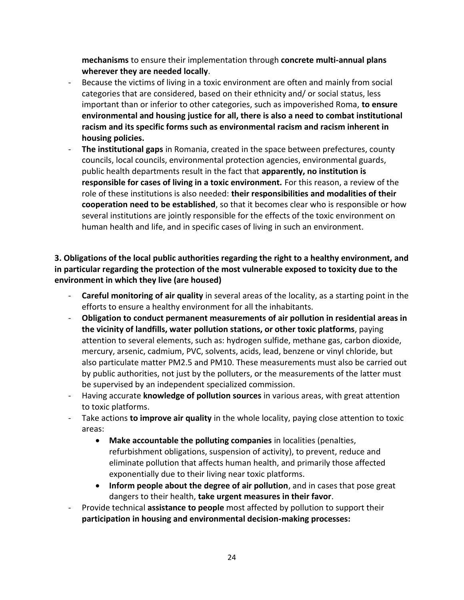**mechanisms** to ensure their implementation through **concrete multi-annual plans wherever they are needed locally**.

- Because the victims of living in a toxic environment are often and mainly from social categories that are considered, based on their ethnicity and/ or social status, less important than or inferior to other categories, such as impoverished Roma, **to ensure environmental and housing justice for all, there is also a need to combat institutional racism and its specific forms such as environmental racism and racism inherent in housing policies.**
- **The institutional gaps** in Romania, created in the space between prefectures, county councils, local councils, environmental protection agencies, environmental guards, public health departments result in the fact that **apparently, no institution is responsible for cases of living in a toxic environment.** For this reason, a review of the role of these institutions is also needed: **their responsibilities and modalities of their cooperation need to be established**, so that it becomes clear who is responsible or how several institutions are jointly responsible for the effects of the toxic environment on human health and life, and in specific cases of living in such an environment.

## **3. Obligations of the local public authorities regarding the right to a healthy environment, and in particular regarding the protection of the most vulnerable exposed to toxicity due to the environment in which they live (are housed)**

- Careful monitoring of air quality in several areas of the locality, as a starting point in the efforts to ensure a healthy environment for all the inhabitants.
- **Obligation to conduct permanent measurements of air pollution in residential areas in the vicinity of landfills, water pollution stations, or other toxic platforms**, paying attention to several elements, such as: hydrogen sulfide, methane gas, carbon dioxide, mercury, arsenic, cadmium, PVC, solvents, acids, lead, benzene or vinyl chloride, but also particulate matter PM2.5 and PM10. These measurements must also be carried out by public authorities, not just by the polluters, or the measurements of the latter must be supervised by an independent specialized commission.
- Having accurate **knowledge of pollution sources** in various areas, with great attention to toxic platforms.
- Take actions **to improve air quality** in the whole locality, paying close attention to toxic areas:
	- **Make accountable the polluting companies** in localities (penalties, refurbishment obligations, suspension of activity), to prevent, reduce and eliminate pollution that affects human health, and primarily those affected exponentially due to their living near toxic platforms.
	- **Inform people about the degree of air pollution**, and in cases that pose great dangers to their health, **take urgent measures in their favor**.
- Provide technical **assistance to people** most affected by pollution to support their **participation in housing and environmental decision-making processes:**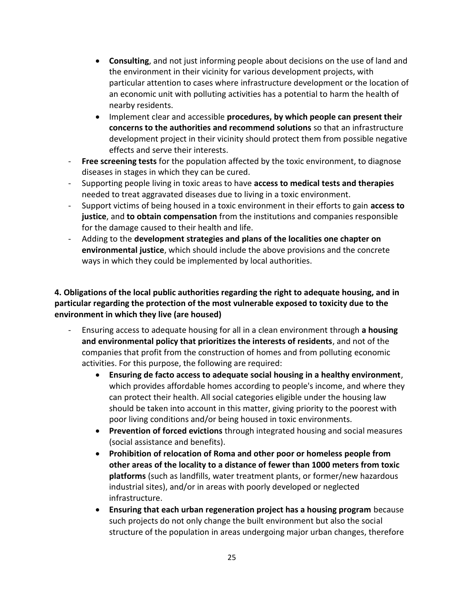- **Consulting**, and not just informing people about decisions on the use of land and the environment in their vicinity for various development projects, with particular attention to cases where infrastructure development or the location of an economic unit with polluting activities has a potential to harm the health of nearby residents.
- Implement clear and accessible **procedures, by which people can present their concerns to the authorities and recommend solutions** so that an infrastructure development project in their vicinity should protect them from possible negative effects and serve their interests.
- **Free screening tests** for the population affected by the toxic environment, to diagnose diseases in stages in which they can be cured.
- Supporting people living in toxic areas to have **access to medical tests and therapies** needed to treat aggravated diseases due to living in a toxic environment.
- Support victims of being housed in a toxic environment in their efforts to gain **access to justice**, and **to obtain compensation** from the institutions and companies responsible for the damage caused to their health and life.
- Adding to the **development strategies and plans of the localities one chapter on environmental justice**, which should include the above provisions and the concrete ways in which they could be implemented by local authorities.

## **4. Obligations of the local public authorities regarding the right to adequate housing, and in particular regarding the protection of the most vulnerable exposed to toxicity due to the environment in which they live (are housed)**

- Ensuring access to adequate housing for all in a clean environment through **a housing and environmental policy that prioritizes the interests of residents**, and not of the companies that profit from the construction of homes and from polluting economic activities. For this purpose, the following are required:
	- **Ensuring de facto access to adequate social housing in a healthy environment**, which provides affordable homes according to people's income, and where they can protect their health. All social categories eligible under the housing law should be taken into account in this matter, giving priority to the poorest with poor living conditions and/or being housed in toxic environments.
	- **Prevention of forced evictions** through integrated housing and social measures (social assistance and benefits).
	- **Prohibition of relocation of Roma and other poor or homeless people from other areas of the locality to a distance of fewer than 1000 meters from toxic platforms** (such as landfills, water treatment plants, or former/new hazardous industrial sites), and/or in areas with poorly developed or neglected infrastructure.
	- **Ensuring that each urban regeneration project has a housing program** because such projects do not only change the built environment but also the social structure of the population in areas undergoing major urban changes, therefore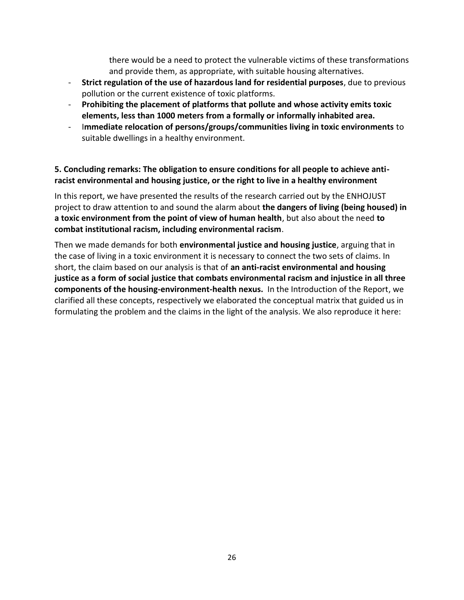there would be a need to protect the vulnerable victims of these transformations and provide them, as appropriate, with suitable housing alternatives.

- **Strict regulation of the use of hazardous land for residential purposes**, due to previous pollution or the current existence of toxic platforms.
- **Prohibiting the placement of platforms that pollute and whose activity emits toxic elements, less than 1000 meters from a formally or informally inhabited area.**
- I**mmediate relocation of persons/groups/communities living in toxic environments** to suitable dwellings in a healthy environment.

## **5. Concluding remarks: The obligation to ensure conditions for all people to achieve antiracist environmental and housing justice, or the right to live in a healthy environment**

In this report, we have presented the results of the research carried out by the ENHOJUST project to draw attention to and sound the alarm about **the dangers of living (being housed) in a toxic environment from the point of view of human health**, but also about the need **to combat institutional racism, including environmental racism**.

Then we made demands for both **environmental justice and housing justice**, arguing that in the case of living in a toxic environment it is necessary to connect the two sets of claims. In short, the claim based on our analysis is that of **an anti-racist environmental and housing justice as a form of social justice that combats environmental racism and injustice in all three components of the housing-environment-health nexus.** In the Introduction of the Report, we clarified all these concepts, respectively we elaborated the conceptual matrix that guided us in formulating the problem and the claims in the light of the analysis. We also reproduce it here: